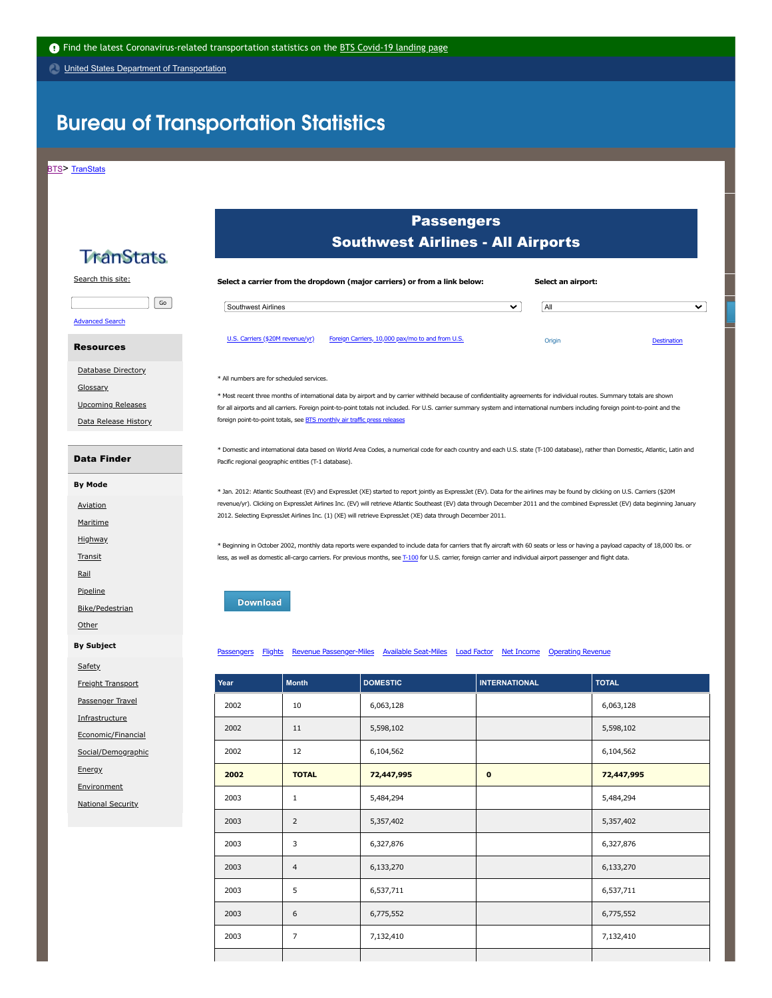**[United States Department of Transportation](http://www.transportation.gov/)** 

# **Bureau of Transportation Statistics**

**[BTS](https://www.bts.gov/)>** [TranStats](https://www.transtats.bts.gov/Homepage.asp)

## **TranStats**

[Search this site:](javascript:displayHelp(300,450,"SITESEARCH"))

 $\sqrt{Go}$ 

[Advanced Search](https://www.transtats.bts.gov/SearchInfo.asp)

#### Resources

[Database Directory](https://www.transtats.bts.gov/DataIndex.asp) **[Glossary](https://www.transtats.bts.gov/glossary.asp)** 

[Upcoming Releases](http://www.bts.gov/events/)

[Data Release History](https://www.transtats.bts.gov/releaseinfo.asp)

#### Data Finder

**By Mode**

#### [Aviation](https://www.transtats.bts.gov/databases.asp?Z1qr_VQ=E&Z1qr_Qr5p=N8vn6v10&f7owrp6_VQF=D)

[Maritime](https://www.transtats.bts.gov/databases.asp?Z1qr_VQ=F&Z1qr_Qr5p=Zn4v6vzr&f7owrp6_VQF=D)

- **[Highway](https://www.transtats.bts.gov/databases.asp?Z1qr_VQ=G&Z1qr_Qr5p=Uvtu9nB&f7owrp6_VQF=D)**
- [Transit](https://www.transtats.bts.gov/databases.asp?Z1qr_VQ=H&Z1qr_Qr5p=g4n05v6&f7owrp6_VQF=D)
- [Rail](https://www.transtats.bts.gov/databases.asp?Z1qr_VQ=I&Z1qr_Qr5p=envy&f7owrp6_VQF=D)

[Pipeline](https://www.transtats.bts.gov/databases.asp?Z1qr_VQ=J&Z1qr_Qr5p=cv2ryv0r&f7owrp6_VQF=D)

[Bike/Pedestrian](https://www.transtats.bts.gov/Databases.asp?Z1qr_VQ=K&Z1qr_Qr5p=Ovxr/crqr564vn0&f7owrp6_VQF=D)

**[Other](https://www.transtats.bts.gov/Databases.asp?Z1qr_VQ=MM&Z1qr_Qr5p=b6ur4&f7owrp6_VQF=D)** 

#### **By Subject**

[Safety](https://www.transtats.bts.gov/databases.asp?f7owrp6_VQ=E&f7owrp6_Qr5p=fnsr6B&Z1qr_VQF=D)

### [Freight Transport](https://www.transtats.bts.gov/databases.asp?f7owrp6_VQ=F&f7owrp6_Qr5p=S4rvtu6%FDg4n052146&Z1qr_VQF=D)

[Passenger Travel](https://www.transtats.bts.gov/databases.asp?f7owrp6_VQ=G&f7owrp6_Qr5p=cn55r0tr4%FDg4n8ry&Z1qr_VQF=D)

[Infrastructure](https://www.transtats.bts.gov/databases.asp?f7owrp6_VQ=H&f7owrp6_Qr5p=V0s4n5647p674r&Z1qr_VQF=D)

[Economic/Financial](https://www.transtats.bts.gov/databases.asp?f7owrp6_VQ=I&f7owrp6_Qr5p=Rp101zvp/Sv0n0pvny&Z1qr_VQF=D)

[Social/Demographic](https://www.transtats.bts.gov/databases.asp?f7owrp6_VQ=J&f7owrp6_Qr5p=f1pvny/Qrz1t4n2uvp&Z1qr_VQF=D)

[Energy](https://www.transtats.bts.gov/databases.asp?f7owrp6_VQ=K&f7owrp6_Qr5p=R0r4tB&Z1qr_VQF=D)

[Environment](https://www.transtats.bts.gov/databases.asp?f7owrp6_VQ=L&f7owrp6_Qr5p=R08v410zr06&Z1qr_VQF=D)

[National Security](https://www.transtats.bts.gov/databases.asp?f7owrp6_VQ=M&f7owrp6_Qr5p=an6v10ny%FDfrp74v6B&Z1qr_VQF=D)

### Passengers Southwest Airlines - All Airports

| Select a carrier from the dropdown (major carriers) or from a link below:                                                                                                         | Select an airport:  |                    |
|-----------------------------------------------------------------------------------------------------------------------------------------------------------------------------------|---------------------|--------------------|
| Southwest Airlines                                                                                                                                                                | All<br>$\checkmark$ | $\checkmark$       |
| U.S. Carriers (\$20M revenue/yr)<br>Foreign Carriers, 10,000 pax/mo to and from U.S.                                                                                              | Origin              | <b>Destination</b> |
| * All numbers are for scheduled services.                                                                                                                                         |                     |                    |
| * Most recent three months of international data by airport and by carrier withheld because of confidentiality agreements for individual routes. Summary totals are shown         |                     |                    |
| for all airports and all carriers. Foreign point-to-point totals not included. For U.S. carrier summary system and international numbers including foreign point-to-point and the |                     |                    |
| foreign point-to-point totals, see BTS monthly air traffic press releases                                                                                                         |                     |                    |

\* Domestic and international data based on World Area Codes, a numerical code for each country and each U.S. state (T-100 database), rather than Domestic, Atlantic, Latin and Pacific regional geographic entities (T-1 database).

\* Jan. 2012: Atlantic Southeast (EV) and ExpressJet (XE) started to report jointly as ExpressJet (EV). Data for the airlines may be found by clicking on U.S. Carriers (\$20M revenue/yr). Clicking on ExpressJet Airlines Inc. (EV) will retrieve Atlantic Southeast (EV) data through December 2011 and the combined ExpressJet (EV) data beginning January 2012. Selecting ExpressJet Airlines Inc. (1) (XE) will retrieve ExpressJet (XE) data through December 2011.

\* Beginning in October 2002, monthly data reports were expanded to include data for carriers that fly aircraft with 60 seats or less or having a payload capacity of 18,000 lbs. or less, as well as domestic all-cargo carriers. For previous months, see [T-100](https://www.transtats.bts.gov/Tables.asp?QO_VQ=EEE&QO_anzr=Nv4%FDPn44vr4%FDf6n6v56vp5%FD%FLS14z%FDHE%FDg4nssvp%FM-%FDNyy%FDPn44vr45&QO_fu146_anzr=Nv4%FDPn44vr45) for U.S. carrier, foreign carrier and individual airport passenger and flight data.



#### ragers [Flights](javascript:__doPostBack() [Revenue Passenger-Miles](javascript:__doPostBack() [Available Seat-Miles](javascript:__doPostBack() [Load Factor](javascript:__doPostBack() [Net Income](javascript:__doPostBack() [Operating Revenue](javascript:__doPostBack()

| Year | <b>Month</b>   | <b>DOMESTIC</b> | <b>INTERNATIONAL</b> | <b>TOTAL</b> |
|------|----------------|-----------------|----------------------|--------------|
| 2002 | 10             | 6,063,128       |                      | 6,063,128    |
| 2002 | 11             | 5,598,102       |                      | 5,598,102    |
| 2002 | 12             | 6,104,562       |                      | 6,104,562    |
| 2002 | <b>TOTAL</b>   | 72,447,995      | $\bf{0}$             | 72,447,995   |
| 2003 | $1\,$          | 5,484,294       |                      | 5,484,294    |
| 2003 | $\overline{2}$ | 5,357,402       |                      | 5,357,402    |
| 2003 | 3              | 6,327,876       |                      | 6,327,876    |
| 2003 | $\overline{4}$ | 6,133,270       |                      | 6,133,270    |
| 2003 | 5              | 6,537,711       |                      | 6,537,711    |
| 2003 | 6              | 6,775,552       |                      | 6,775,552    |
| 2003 | $\overline{7}$ | 7,132,410       |                      | 7,132,410    |
|      |                |                 |                      |              |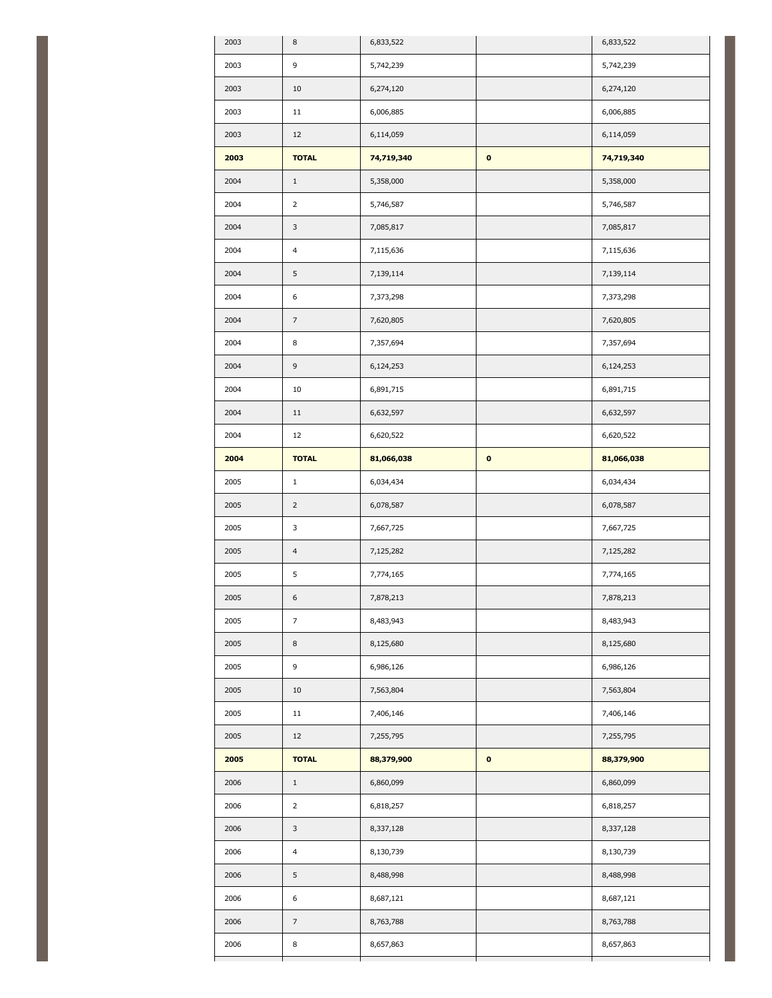| 2003 | 8                         | 6,833,522  |             | 6,833,522  |
|------|---------------------------|------------|-------------|------------|
| 2003 | 9                         | 5,742,239  |             | 5,742,239  |
| 2003 | 10                        | 6,274,120  |             | 6,274,120  |
| 2003 | 11                        | 6,006,885  |             | 6,006,885  |
| 2003 | 12                        | 6,114,059  |             | 6,114,059  |
| 2003 | <b>TOTAL</b>              | 74,719,340 | $\mathbf 0$ | 74,719,340 |
| 2004 | $\mathbf{1}$              | 5,358,000  |             | 5,358,000  |
| 2004 | $\overline{2}$            | 5,746,587  |             | 5,746,587  |
| 2004 | 3                         | 7,085,817  |             | 7,085,817  |
| 2004 | $\overline{4}$            | 7,115,636  |             | 7,115,636  |
| 2004 | 5                         | 7,139,114  |             | 7,139,114  |
| 2004 | 6                         | 7,373,298  |             | 7,373,298  |
| 2004 | $\overline{7}$            | 7,620,805  |             | 7,620,805  |
| 2004 | 8                         | 7,357,694  |             | 7,357,694  |
| 2004 | 9                         | 6,124,253  |             | 6,124,253  |
| 2004 | 10                        | 6,891,715  |             | 6,891,715  |
| 2004 | 11                        | 6,632,597  |             | 6,632,597  |
| 2004 | 12                        | 6,620,522  |             | 6,620,522  |
| 2004 | <b>TOTAL</b>              | 81,066,038 | $\pmb{0}$   | 81,066,038 |
| 2005 | $\mathbf{1}$              | 6,034,434  |             | 6,034,434  |
| 2005 | $\overline{2}$            | 6,078,587  |             | 6,078,587  |
| 2005 | 3                         | 7,667,725  |             | 7,667,725  |
| 2005 | 4                         | 7,125,282  |             | 7,125,282  |
| 2005 | 5                         | 7,774,165  |             | 7,774,165  |
| 2005 | 6                         | 7,878,213  |             | 7,878,213  |
| 2005 | $\overline{7}$            | 8,483,943  |             | 8,483,943  |
| 2005 | $\,$ 8 $\,$               | 8,125,680  |             | 8,125,680  |
| 2005 | 9                         | 6,986,126  |             | 6,986,126  |
| 2005 | 10                        | 7,563,804  |             | 7,563,804  |
| 2005 | $11\,$                    | 7,406,146  |             | 7,406,146  |
| 2005 | 12                        | 7,255,795  |             | 7,255,795  |
| 2005 | <b>TOTAL</b>              | 88,379,900 | 0           | 88,379,900 |
| 2006 | $\mathbf 1$               | 6,860,099  |             | 6,860,099  |
| 2006 | $\overline{2}$            | 6,818,257  |             | 6,818,257  |
| 2006 | $\ensuremath{\mathsf{3}}$ | 8,337,128  |             | 8,337,128  |
| 2006 | $\overline{\mathbf{4}}$   | 8,130,739  |             | 8,130,739  |
| 2006 | 5                         | 8,488,998  |             | 8,488,998  |
| 2006 | $\,$ 6 $\,$               | 8,687,121  |             | 8,687,121  |
| 2006 | $\overline{7}$            | 8,763,788  |             | 8,763,788  |
| 2006 | 8                         | 8,657,863  |             | 8,657,863  |
|      |                           |            |             |            |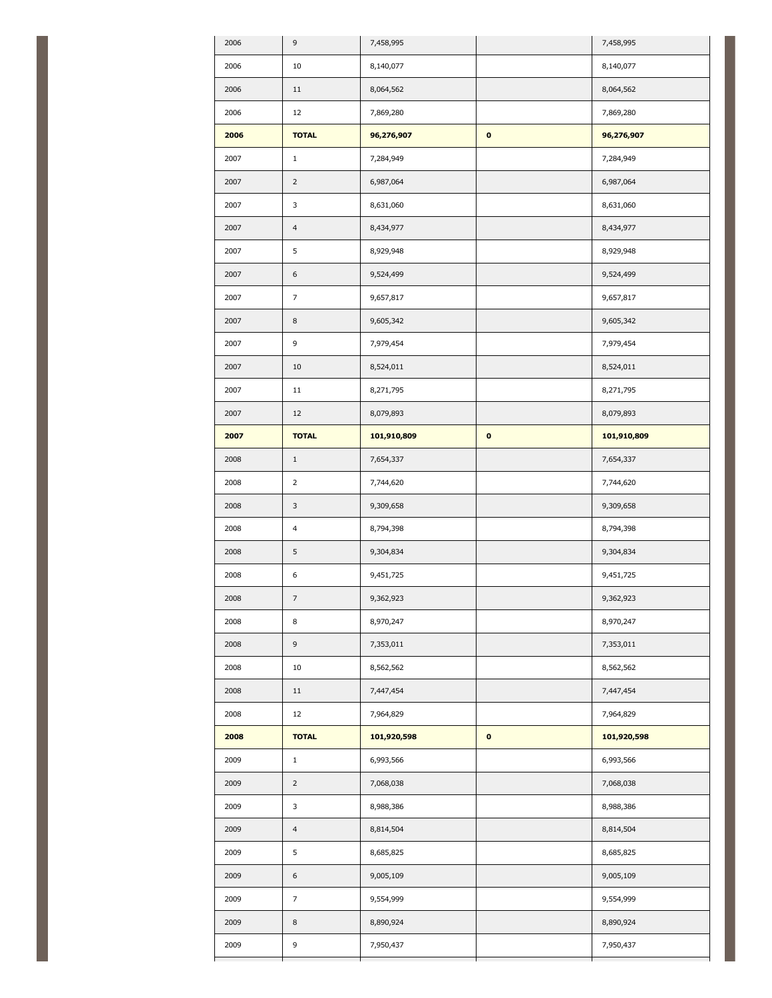| 2006 | 9                       | 7,458,995   |             | 7,458,995   |
|------|-------------------------|-------------|-------------|-------------|
| 2006 | 10                      | 8,140,077   |             | 8,140,077   |
| 2006 | 11                      | 8,064,562   |             | 8,064,562   |
| 2006 | 12                      | 7,869,280   |             | 7,869,280   |
| 2006 | <b>TOTAL</b>            | 96,276,907  | $\pmb{0}$   | 96,276,907  |
| 2007 | $\mathbf{1}$            | 7,284,949   |             | 7,284,949   |
| 2007 | $\overline{2}$          | 6,987,064   |             | 6,987,064   |
| 2007 | 3                       | 8,631,060   |             | 8,631,060   |
| 2007 | $\overline{\mathbf{4}}$ | 8,434,977   |             | 8,434,977   |
| 2007 | 5                       | 8,929,948   |             | 8,929,948   |
| 2007 | 6                       | 9,524,499   |             | 9,524,499   |
| 2007 | 7                       | 9,657,817   |             | 9,657,817   |
| 2007 | 8                       | 9,605,342   |             | 9,605,342   |
| 2007 | 9                       | 7,979,454   |             | 7,979,454   |
| 2007 | 10                      | 8,524,011   |             | 8,524,011   |
| 2007 | 11                      | 8,271,795   |             | 8,271,795   |
| 2007 | 12                      | 8,079,893   |             | 8,079,893   |
| 2007 | <b>TOTAL</b>            | 101,910,809 | $\mathbf 0$ | 101,910,809 |
| 2008 | $\mathbf{1}$            | 7,654,337   |             | 7,654,337   |
| 2008 | $\overline{2}$          | 7,744,620   |             | 7,744,620   |
| 2008 | 3                       | 9,309,658   |             | 9,309,658   |
| 2008 | 4                       | 8,794,398   |             | 8,794,398   |
| 2008 | 5                       | 9,304,834   |             | 9,304,834   |
| 2008 | 6                       | 9,451,725   |             | 9,451,725   |
| 2008 | $\overline{7}$          | 9,362,923   |             | 9,362,923   |
| 2008 | 8                       | 8,970,247   |             | 8,970,247   |
| 2008 | 9                       | 7,353,011   |             | 7,353,011   |
| 2008 | 10                      | 8,562,562   |             | 8,562,562   |
| 2008 | 11                      | 7,447,454   |             | 7,447,454   |
| 2008 | 12                      | 7,964,829   |             | 7,964,829   |
| 2008 | <b>TOTAL</b>            | 101,920,598 | $\mathbf 0$ | 101,920,598 |
| 2009 | $\mathbf 1$             | 6,993,566   |             | 6,993,566   |
| 2009 | $\overline{2}$          | 7,068,038   |             | 7,068,038   |
| 2009 | 3                       | 8,988,386   |             | 8,988,386   |
| 2009 | $\overline{4}$          | 8,814,504   |             | 8,814,504   |
| 2009 | $\sf 5$                 | 8,685,825   |             | 8,685,825   |
| 2009 | 6                       | 9,005,109   |             | 9,005,109   |
| 2009 | 7                       | 9,554,999   |             | 9,554,999   |
| 2009 | 8                       | 8,890,924   |             | 8,890,924   |
| 2009 | 9                       | 7,950,437   |             | 7,950,437   |
|      |                         |             |             |             |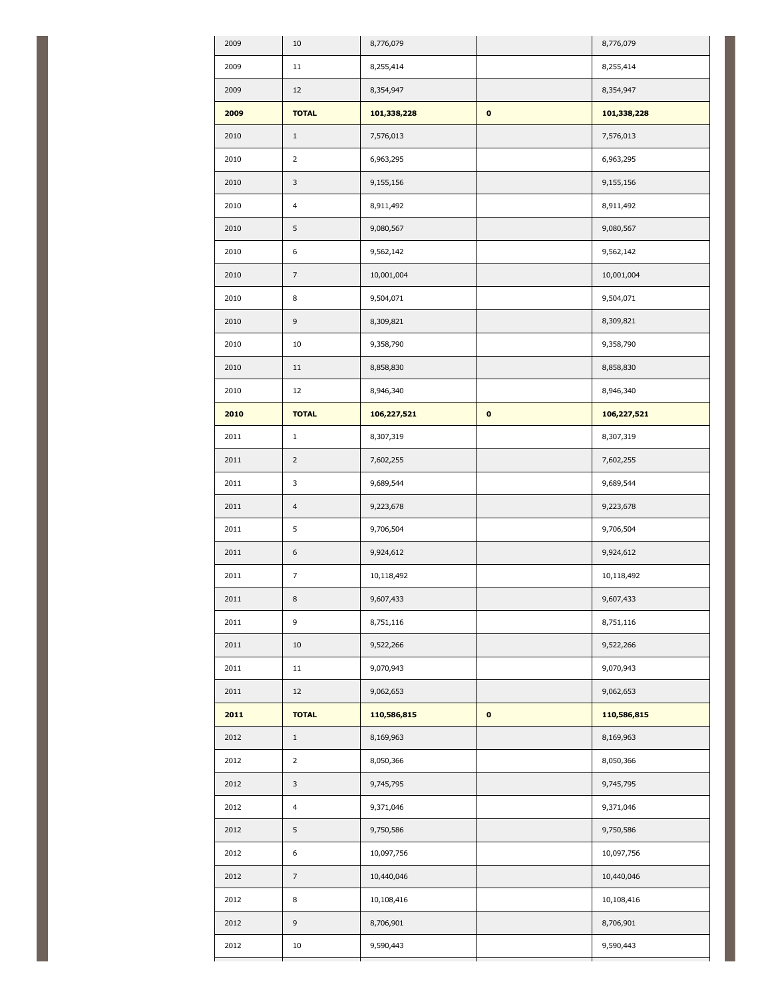| 2009 | 10             | 8,776,079   |             | 8,776,079   |
|------|----------------|-------------|-------------|-------------|
| 2009 | 11             | 8,255,414   |             | 8,255,414   |
| 2009 | 12             | 8,354,947   |             | 8,354,947   |
| 2009 | <b>TOTAL</b>   | 101,338,228 | $\mathbf 0$ | 101,338,228 |
| 2010 | $\mathbf{1}$   | 7,576,013   |             | 7,576,013   |
| 2010 | $\overline{2}$ | 6,963,295   |             | 6,963,295   |
| 2010 | 3              | 9,155,156   |             | 9,155,156   |
| 2010 | 4              | 8,911,492   |             | 8,911,492   |
| 2010 | 5              | 9,080,567   |             | 9,080,567   |
| 2010 | 6              | 9,562,142   |             | 9,562,142   |
| 2010 | $\overline{7}$ | 10,001,004  |             | 10,001,004  |
| 2010 | 8              | 9,504,071   |             | 9,504,071   |
| 2010 | 9              | 8,309,821   |             | 8,309,821   |
| 2010 | 10             | 9,358,790   |             | 9,358,790   |
| 2010 | 11             | 8,858,830   |             | 8,858,830   |
| 2010 | 12             | 8,946,340   |             | 8,946,340   |
| 2010 | <b>TOTAL</b>   | 106,227,521 | $\mathbf 0$ | 106,227,521 |
| 2011 | $\mathbf{1}$   | 8,307,319   |             | 8,307,319   |
| 2011 | $\overline{2}$ | 7,602,255   |             | 7,602,255   |
| 2011 | 3              | 9,689,544   |             | 9,689,544   |
| 2011 | $\overline{4}$ | 9,223,678   |             | 9,223,678   |
| 2011 | 5              | 9,706,504   |             | 9,706,504   |
| 2011 | 6              | 9,924,612   |             | 9,924,612   |
| 2011 | 7              | 10,118,492  |             | 10,118,492  |
| 2011 | 8              | 9,607,433   |             | 9,607,433   |
| 2011 | 9              | 8,751,116   |             | 8,751,116   |
| 2011 | 10             | 9,522,266   |             | 9,522,266   |
| 2011 | 11             | 9,070,943   |             | 9,070,943   |
| 2011 | 12             | 9,062,653   |             | 9,062,653   |
| 2011 | <b>TOTAL</b>   | 110,586,815 | $\pmb{0}$   | 110,586,815 |
| 2012 | $1\,$          | 8,169,963   |             | 8,169,963   |
| 2012 | $\mathbf{2}$   | 8,050,366   |             | 8,050,366   |
| 2012 | 3              | 9,745,795   |             | 9,745,795   |
| 2012 | $\overline{4}$ | 9,371,046   |             | 9,371,046   |
| 2012 | $\mathsf S$    | 9,750,586   |             | 9,750,586   |
| 2012 | 6              | 10,097,756  |             | 10,097,756  |
| 2012 | $\overline{7}$ | 10,440,046  |             | 10,440,046  |
| 2012 | 8              | 10,108,416  |             | 10,108,416  |
| 2012 | 9              | 8,706,901   |             | 8,706,901   |
| 2012 | 10             | 9,590,443   |             | 9,590,443   |
|      |                |             |             |             |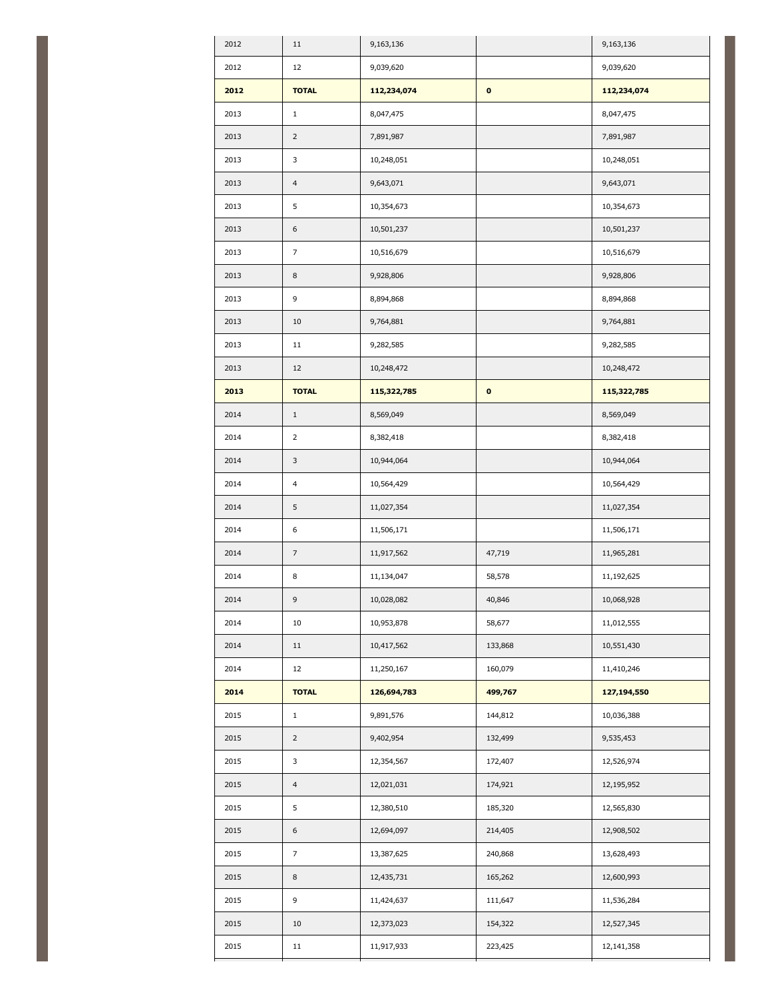| 2012 | $11\,$         | 9,163,136   |             | 9,163,136    |
|------|----------------|-------------|-------------|--------------|
| 2012 | 12             | 9,039,620   |             | 9,039,620    |
| 2012 | <b>TOTAL</b>   | 112,234,074 | $\mathbf 0$ | 112,234,074  |
| 2013 | $\mathbf{1}$   | 8,047,475   |             | 8,047,475    |
| 2013 | $\overline{2}$ | 7,891,987   |             | 7,891,987    |
| 2013 | 3              | 10,248,051  |             | 10,248,051   |
| 2013 | $\overline{4}$ | 9,643,071   |             | 9,643,071    |
| 2013 | 5              | 10,354,673  |             | 10,354,673   |
| 2013 | 6              | 10,501,237  |             | 10,501,237   |
| 2013 | $\overline{7}$ | 10,516,679  |             | 10,516,679   |
| 2013 | 8              | 9,928,806   |             | 9,928,806    |
| 2013 | 9              | 8,894,868   |             | 8,894,868    |
| 2013 | 10             | 9,764,881   |             | 9,764,881    |
| 2013 | 11             | 9,282,585   |             | 9,282,585    |
| 2013 | 12             | 10,248,472  |             | 10,248,472   |
| 2013 | <b>TOTAL</b>   | 115,322,785 | $\pmb{0}$   | 115,322,785  |
| 2014 | $\mathbf{1}$   | 8,569,049   |             | 8,569,049    |
| 2014 | $\overline{2}$ | 8,382,418   |             | 8,382,418    |
| 2014 | 3              | 10,944,064  |             | 10,944,064   |
| 2014 | 4              | 10,564,429  |             | 10,564,429   |
| 2014 | 5              | 11,027,354  |             | 11,027,354   |
| 2014 | 6              | 11,506,171  |             | 11,506,171   |
| 2014 | $\overline{7}$ | 11,917,562  | 47,719      | 11,965,281   |
| 2014 | 8              | 11,134,047  | 58,578      | 11,192,625   |
| 2014 | 9              | 10,028,082  | 40,846      | 10,068,928   |
| 2014 | 10             | 10,953,878  | 58,677      | 11,012,555   |
| 2014 | 11             | 10,417,562  | 133,868     | 10,551,430   |
| 2014 | 12             | 11,250,167  | 160,079     | 11,410,246   |
| 2014 | <b>TOTAL</b>   | 126,694,783 | 499,767     | 127,194,550  |
| 2015 | $\mathbf{1}$   | 9,891,576   | 144,812     | 10,036,388   |
| 2015 | $\overline{2}$ | 9,402,954   | 132,499     | 9,535,453    |
| 2015 | 3              | 12,354,567  | 172,407     | 12,526,974   |
| 2015 | $\overline{4}$ | 12,021,031  | 174,921     | 12,195,952   |
| 2015 | 5              | 12,380,510  | 185,320     | 12,565,830   |
| 2015 | 6              | 12,694,097  | 214,405     | 12,908,502   |
| 2015 | 7              | 13,387,625  | 240,868     | 13,628,493   |
| 2015 | 8              | 12,435,731  | 165,262     | 12,600,993   |
| 2015 | 9              | 11,424,637  | 111,647     | 11,536,284   |
| 2015 | 10             | 12,373,023  | 154,322     | 12,527,345   |
| 2015 | 11             | 11,917,933  | 223,425     | 12, 141, 358 |
|      |                |             |             |              |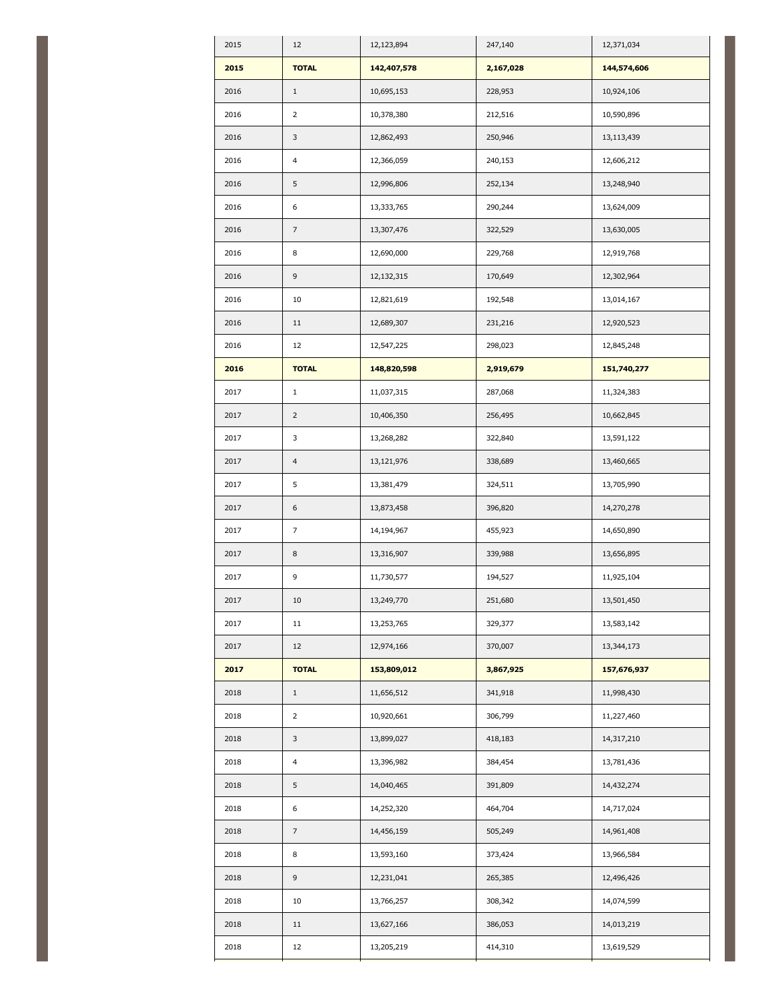| 2015 | 12             | 12,123,894  | 247,140   | 12,371,034  |
|------|----------------|-------------|-----------|-------------|
| 2015 | <b>TOTAL</b>   | 142,407,578 | 2,167,028 | 144,574,606 |
| 2016 | $\mathbf{1}$   | 10,695,153  | 228,953   | 10,924,106  |
| 2016 | $\overline{2}$ | 10,378,380  | 212,516   | 10,590,896  |
| 2016 | 3              | 12,862,493  | 250,946   | 13,113,439  |
| 2016 | 4              | 12,366,059  | 240,153   | 12,606,212  |
| 2016 | 5              | 12,996,806  | 252,134   | 13,248,940  |
| 2016 | 6              | 13,333,765  | 290,244   | 13,624,009  |
| 2016 | $\overline{7}$ | 13,307,476  | 322,529   | 13,630,005  |
| 2016 | 8              | 12,690,000  | 229,768   | 12,919,768  |
| 2016 | 9              | 12,132,315  | 170,649   | 12,302,964  |
| 2016 | 10             | 12,821,619  | 192,548   | 13,014,167  |
| 2016 | 11             | 12,689,307  | 231,216   | 12,920,523  |
| 2016 | 12             | 12,547,225  | 298,023   | 12,845,248  |
| 2016 | <b>TOTAL</b>   | 148,820,598 | 2,919,679 | 151,740,277 |
| 2017 | $\mathbf{1}$   | 11,037,315  | 287,068   | 11,324,383  |
| 2017 | $\overline{2}$ | 10,406,350  | 256,495   | 10,662,845  |
| 2017 | 3              | 13,268,282  | 322,840   | 13,591,122  |
| 2017 | $\overline{4}$ | 13,121,976  | 338,689   | 13,460,665  |
| 2017 | 5              | 13,381,479  | 324,511   | 13,705,990  |
| 2017 | 6              | 13,873,458  | 396,820   | 14,270,278  |
| 2017 | 7              | 14,194,967  | 455,923   | 14,650,890  |
| 2017 | 8              | 13,316,907  | 339,988   | 13,656,895  |
| 2017 | 9              | 11,730,577  | 194,527   | 11,925,104  |
| 2017 | 10             | 13,249,770  | 251,680   | 13,501,450  |
| 2017 | 11             | 13,253,765  | 329,377   | 13,583,142  |
| 2017 | 12             | 12,974,166  | 370,007   | 13,344,173  |
| 2017 | <b>TOTAL</b>   | 153,809,012 | 3,867,925 | 157,676,937 |
| 2018 | $\mathbf{1}$   | 11,656,512  | 341,918   | 11,998,430  |
| 2018 | $\overline{2}$ | 10,920,661  | 306,799   | 11,227,460  |
| 2018 | 3              | 13,899,027  | 418,183   | 14,317,210  |
| 2018 | 4              | 13,396,982  | 384,454   | 13,781,436  |
| 2018 | 5              | 14,040,465  | 391,809   | 14,432,274  |
| 2018 | 6              | 14,252,320  | 464,704   | 14,717,024  |
| 2018 | $\overline{7}$ | 14,456,159  | 505,249   | 14,961,408  |
| 2018 | 8              | 13,593,160  | 373,424   | 13,966,584  |
| 2018 | 9              | 12,231,041  | 265,385   | 12,496,426  |
| 2018 | 10             | 13,766,257  | 308,342   | 14,074,599  |
| 2018 | 11             | 13,627,166  | 386,053   | 14,013,219  |
|      |                |             |           |             |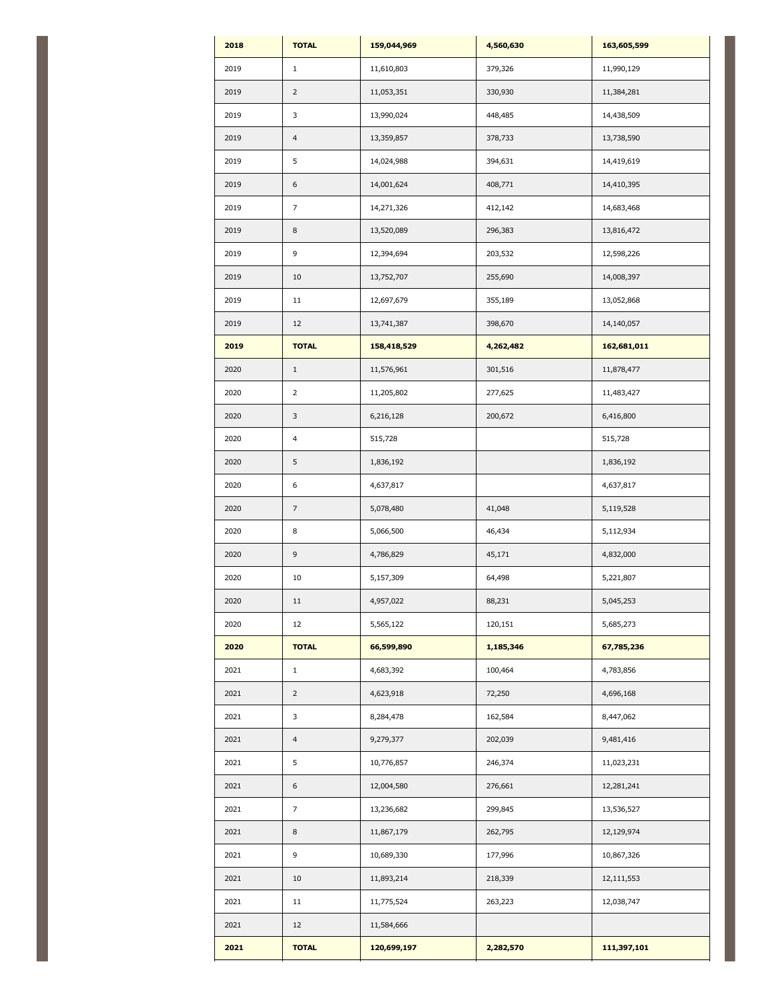| 2018 | <b>TOTAL</b>   | 159,044,969 | 4,560,630 | 163,605,599 |
|------|----------------|-------------|-----------|-------------|
| 2019 | $\mathbf{1}$   | 11,610,803  | 379,326   | 11,990,129  |
| 2019 | $\overline{2}$ | 11,053,351  | 330,930   | 11,384,281  |
| 2019 | 3              | 13,990,024  | 448,485   | 14,438,509  |
| 2019 | $\overline{4}$ | 13,359,857  | 378,733   | 13,738,590  |
| 2019 | 5              | 14,024,988  | 394,631   | 14,419,619  |
| 2019 | 6              | 14,001,624  | 408,771   | 14,410,395  |
| 2019 | $\overline{7}$ | 14,271,326  | 412,142   | 14,683,468  |
| 2019 | 8              | 13,520,089  | 296,383   | 13,816,472  |
| 2019 | 9              | 12,394,694  | 203,532   | 12,598,226  |
| 2019 | $10\,$         | 13,752,707  | 255,690   | 14,008,397  |
| 2019 | 11             | 12,697,679  | 355,189   | 13,052,868  |
| 2019 | 12             | 13,741,387  | 398,670   | 14,140,057  |
| 2019 | <b>TOTAL</b>   | 158,418,529 | 4,262,482 | 162,681,011 |
| 2020 | $1\,$          | 11,576,961  | 301,516   | 11,878,477  |
| 2020 | 2              | 11,205,802  | 277,625   | 11,483,427  |
| 2020 | 3              | 6,216,128   | 200,672   | 6,416,800   |
| 2020 | 4              | 515,728     |           | 515,728     |
| 2020 | 5              | 1,836,192   |           | 1,836,192   |
| 2020 | 6              | 4,637,817   |           | 4,637,817   |
| 2020 | $\overline{7}$ | 5,078,480   | 41,048    | 5,119,528   |
| 2020 | 8              | 5,066,500   | 46,434    | 5,112,934   |
| 2020 | 9              | 4,786,829   | 45,171    | 4,832,000   |
| 2020 | 10             | 5,157,309   | 64,498    | 5,221,807   |
| 2020 | 11             | 4,957,022   | 88,231    | 5,045,253   |
| 2020 | 12             | 5,565,122   | 120,151   | 5,685,273   |
| 2020 | <b>TOTAL</b>   | 66,599,890  | 1,185,346 | 67,785,236  |
| 2021 | $\mathbf{1}$   | 4,683,392   | 100,464   | 4,783,856   |
| 2021 | $\overline{2}$ | 4,623,918   | 72,250    | 4,696,168   |
| 2021 | 3              | 8,284,478   | 162,584   | 8,447,062   |
| 2021 | $\overline{4}$ | 9,279,377   | 202,039   | 9,481,416   |
| 2021 | 5              | 10,776,857  | 246,374   | 11,023,231  |
| 2021 | 6              | 12,004,580  | 276,661   | 12,281,241  |
| 2021 | 7              | 13,236,682  | 299,845   | 13,536,527  |
| 2021 | 8              | 11,867,179  | 262,795   | 12,129,974  |
| 2021 | 9              | 10,689,330  | 177,996   | 10,867,326  |
| 2021 | 10             | 11,893,214  | 218,339   | 12,111,553  |
| 2021 | 11             | 11,775,524  | 263,223   | 12,038,747  |
| 2021 | 12             | 11,584,666  |           |             |
| 2021 | <b>TOTAL</b>   | 120,699,197 | 2,282,570 | 111,397,101 |